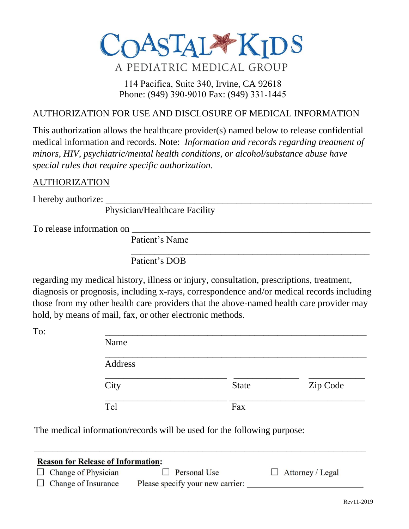

# 114 Pacifica, Suite 340, Irvine, CA 92618 Phone: (949) 390-9010 Fax: (949) 331-1445

### AUTHORIZATION FOR USE AND DISCLOSURE OF MEDICAL INFORMATION

This authorization allows the healthcare provider(s) named below to release confidential medical information and records. Note: *Information and records regarding treatment of minors, HIV, psychiatric/mental health conditions, or alcohol/substance abuse have special rules that require specific authorization.*

#### AUTHORIZATION

I hereby authorize:

Physician/Healthcare Facility

To release information on

Patient's Name

Patient's DOB

regarding my medical history, illness or injury, consultation, prescriptions, treatment, diagnosis or prognosis, including x-rays, correspondence and/or medical records including those from my other health care providers that the above-named health care provider may hold, by means of mail, fax, or other electronic methods.

| To: | Name    |              |          |
|-----|---------|--------------|----------|
|     | Address |              |          |
|     | City    | <b>State</b> | Zip Code |
|     | Tel     | Fax          |          |

\_\_\_\_\_\_\_\_\_\_\_\_\_\_\_\_\_\_\_\_\_\_\_\_\_\_\_\_\_\_\_\_\_\_\_\_\_\_\_\_\_\_\_\_\_\_\_\_\_\_\_

The medical information/records will be used for the following purpose:

| <b>Reason for Release of Information:</b> |                            |                                  |                         |  |  |  |
|-------------------------------------------|----------------------------|----------------------------------|-------------------------|--|--|--|
|                                           | $\Box$ Change of Physician | $\Box$ Personal Use              | $\Box$ Attorney / Legal |  |  |  |
|                                           | $\Box$ Change of Insurance | Please specify your new carrier: |                         |  |  |  |

\_\_\_\_\_\_\_\_\_\_\_\_\_\_\_\_\_\_\_\_\_\_\_\_\_\_\_\_\_\_\_\_\_\_\_\_\_\_\_\_\_\_\_\_\_\_\_\_\_\_\_\_\_\_\_\_\_\_\_\_\_\_\_\_\_\_\_\_\_\_\_